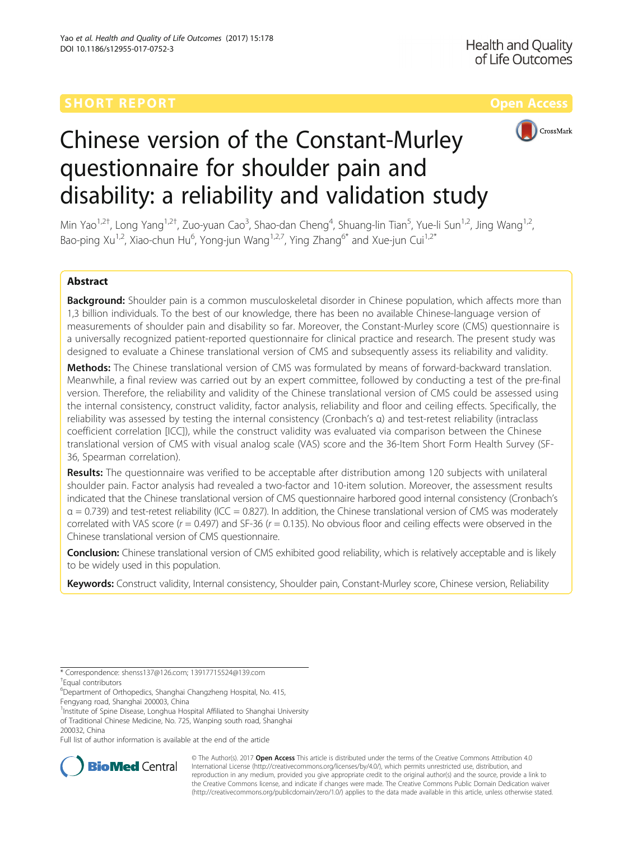# **SHORT REPORT CONTRACT CONTRACT CONTRACT CONTRACT CONTRACT CONTRACT CONTRACT CONTRACT CONTRACT CONTRACT CONTRACT CONTRACT CONTRACT CONTRACT CONTRACT CONTRACT CONTRACT CONTRACT CONTRACT CONTRACT CONTRACT CONTRACT CONTRACT C**



# Chinese version of the Constant-Murley questionnaire for shoulder pain and disability: a reliability and validation study

Min Yao<sup>1,2†</sup>, Long Yang<sup>1,2†</sup>, Zuo-yuan Cao<sup>3</sup>, Shao-dan Cheng<sup>4</sup>, Shuang-lin Tian<sup>5</sup>, Yue-li Sun<sup>1,2</sup>, Jing Wang<sup>1,2</sup>, Bao-ping Xu<sup>1,2</sup>, Xiao-chun Hu<sup>6</sup>, Yong-jun Wang<sup>1,2,7</sup>, Ying Zhang<sup>6\*</sup> and Xue-jun Cui<sup>1,2\*</sup>

# Abstract

Background: Shoulder pain is a common musculoskeletal disorder in Chinese population, which affects more than 1,3 billion individuals. To the best of our knowledge, there has been no available Chinese-language version of measurements of shoulder pain and disability so far. Moreover, the Constant-Murley score (CMS) questionnaire is a universally recognized patient-reported questionnaire for clinical practice and research. The present study was designed to evaluate a Chinese translational version of CMS and subsequently assess its reliability and validity.

Methods: The Chinese translational version of CMS was formulated by means of forward-backward translation. Meanwhile, a final review was carried out by an expert committee, followed by conducting a test of the pre-final version. Therefore, the reliability and validity of the Chinese translational version of CMS could be assessed using the internal consistency, construct validity, factor analysis, reliability and floor and ceiling effects. Specifically, the reliability was assessed by testing the internal consistency (Cronbach's α) and test-retest reliability (intraclass coefficient correlation [ICC]), while the construct validity was evaluated via comparison between the Chinese translational version of CMS with visual analog scale (VAS) score and the 36-Item Short Form Health Survey (SF-36, Spearman correlation).

**Results:** The questionnaire was verified to be acceptable after distribution among 120 subjects with unilateral shoulder pain. Factor analysis had revealed a two-factor and 10-item solution. Moreover, the assessment results indicated that the Chinese translational version of CMS questionnaire harbored good internal consistency (Cronbach's  $\alpha$  = 0.739) and test-retest reliability (ICC = 0.827). In addition, the Chinese translational version of CMS was moderately correlated with VAS score ( $r = 0.497$ ) and SF-36 ( $r = 0.135$ ). No obvious floor and ceiling effects were observed in the Chinese translational version of CMS questionnaire.

Conclusion: Chinese translational version of CMS exhibited good reliability, which is relatively acceptable and is likely to be widely used in this population.

Keywords: Construct validity, Internal consistency, Shoulder pain, Constant-Murley score, Chinese version, Reliability

\* Correspondence: [shenss137@126.com;](mailto:shenss137@126.com) [13917715524@139.com](mailto:13917715524@139.com) †

Equal contributors

6 Department of Orthopedics, Shanghai Changzheng Hospital, No. 415,

<sup>1</sup>Institute of Spine Disease, Longhua Hospital Affiliated to Shanghai University of Traditional Chinese Medicine, No. 725, Wanping south road, Shanghai 200032, China

Full list of author information is available at the end of the article



© The Author(s). 2017 **Open Access** This article is distributed under the terms of the Creative Commons Attribution 4.0 International License [\(http://creativecommons.org/licenses/by/4.0/](http://creativecommons.org/licenses/by/4.0/)), which permits unrestricted use, distribution, and reproduction in any medium, provided you give appropriate credit to the original author(s) and the source, provide a link to the Creative Commons license, and indicate if changes were made. The Creative Commons Public Domain Dedication waiver [\(http://creativecommons.org/publicdomain/zero/1.0/](http://creativecommons.org/publicdomain/zero/1.0/)) applies to the data made available in this article, unless otherwise stated.

Fengyang road, Shanghai 200003, China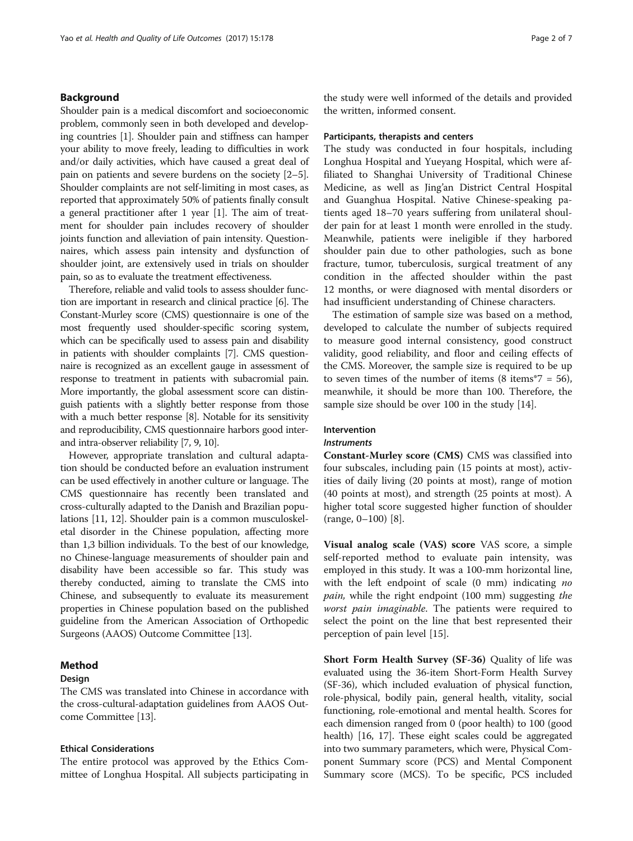### Background

Shoulder pain is a medical discomfort and socioeconomic problem, commonly seen in both developed and developing countries [\[1\]](#page-6-0). Shoulder pain and stiffness can hamper your ability to move freely, leading to difficulties in work and/or daily activities, which have caused a great deal of pain on patients and severe burdens on the society [[2](#page-6-0)–[5](#page-6-0)]. Shoulder complaints are not self-limiting in most cases, as reported that approximately 50% of patients finally consult a general practitioner after 1 year [[1\]](#page-6-0). The aim of treatment for shoulder pain includes recovery of shoulder joints function and alleviation of pain intensity. Questionnaires, which assess pain intensity and dysfunction of shoulder joint, are extensively used in trials on shoulder pain, so as to evaluate the treatment effectiveness.

Therefore, reliable and valid tools to assess shoulder function are important in research and clinical practice [\[6\]](#page-6-0). The Constant-Murley score (CMS) questionnaire is one of the most frequently used shoulder-specific scoring system, which can be specifically used to assess pain and disability in patients with shoulder complaints [[7](#page-6-0)]. CMS questionnaire is recognized as an excellent gauge in assessment of response to treatment in patients with subacromial pain. More importantly, the global assessment score can distinguish patients with a slightly better response from those with a much better response [[8](#page-6-0)]. Notable for its sensitivity and reproducibility, CMS questionnaire harbors good interand intra-observer reliability [\[7, 9](#page-6-0), [10](#page-6-0)].

However, appropriate translation and cultural adaptation should be conducted before an evaluation instrument can be used effectively in another culture or language. The CMS questionnaire has recently been translated and cross-culturally adapted to the Danish and Brazilian populations [\[11, 12\]](#page-6-0). Shoulder pain is a common musculoskeletal disorder in the Chinese population, affecting more than 1,3 billion individuals. To the best of our knowledge, no Chinese-language measurements of shoulder pain and disability have been accessible so far. This study was thereby conducted, aiming to translate the CMS into Chinese, and subsequently to evaluate its measurement properties in Chinese population based on the published guideline from the American Association of Orthopedic Surgeons (AAOS) Outcome Committee [\[13\]](#page-6-0).

# Method

# Design

The CMS was translated into Chinese in accordance with the cross-cultural-adaptation guidelines from AAOS Outcome Committee [[13](#page-6-0)].

#### Ethical Considerations

The entire protocol was approved by the Ethics Committee of Longhua Hospital. All subjects participating in the study were well informed of the details and provided the written, informed consent.

#### Participants, therapists and centers

The study was conducted in four hospitals, including Longhua Hospital and Yueyang Hospital, which were affiliated to Shanghai University of Traditional Chinese Medicine, as well as Jing'an District Central Hospital and Guanghua Hospital. Native Chinese-speaking patients aged 18–70 years suffering from unilateral shoulder pain for at least 1 month were enrolled in the study. Meanwhile, patients were ineligible if they harbored shoulder pain due to other pathologies, such as bone fracture, tumor, tuberculosis, surgical treatment of any condition in the affected shoulder within the past 12 months, or were diagnosed with mental disorders or had insufficient understanding of Chinese characters.

The estimation of sample size was based on a method, developed to calculate the number of subjects required to measure good internal consistency, good construct validity, good reliability, and floor and ceiling effects of the CMS. Moreover, the sample size is required to be up to seven times of the number of items  $(8 \text{ items}^*7 = 56)$ , meanwhile, it should be more than 100. Therefore, the sample size should be over 100 in the study [[14\]](#page-6-0).

# Intervention

### Instruments

Constant-Murley score (CMS) CMS was classified into four subscales, including pain (15 points at most), activities of daily living (20 points at most), range of motion (40 points at most), and strength (25 points at most). A higher total score suggested higher function of shoulder (range, 0–100) [\[8](#page-6-0)].

Visual analog scale (VAS) score VAS score, a simple self-reported method to evaluate pain intensity, was employed in this study. It was a 100-mm horizontal line, with the left endpoint of scale  $(0 \text{ mm})$  indicating no pain, while the right endpoint (100 mm) suggesting the worst pain imaginable. The patients were required to select the point on the line that best represented their perception of pain level [\[15](#page-6-0)].

Short Form Health Survey (SF-36) Quality of life was evaluated using the 36-item Short-Form Health Survey (SF-36), which included evaluation of physical function, role-physical, bodily pain, general health, vitality, social functioning, role-emotional and mental health. Scores for each dimension ranged from 0 (poor health) to 100 (good health) [\[16, 17\]](#page-6-0). These eight scales could be aggregated into two summary parameters, which were, Physical Component Summary score (PCS) and Mental Component Summary score (MCS). To be specific, PCS included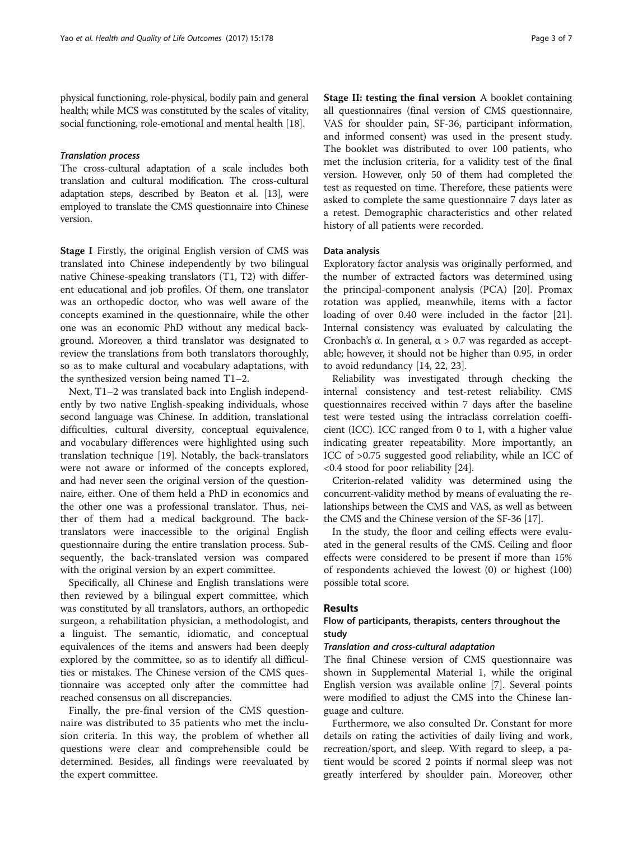physical functioning, role-physical, bodily pain and general health; while MCS was constituted by the scales of vitality, social functioning, role-emotional and mental health [\[18\]](#page-6-0).

#### Translation process

The cross-cultural adaptation of a scale includes both translation and cultural modification. The cross-cultural adaptation steps, described by Beaton et al. [[13](#page-6-0)], were employed to translate the CMS questionnaire into Chinese version.

Stage I Firstly, the original English version of CMS was translated into Chinese independently by two bilingual native Chinese-speaking translators (T1, T2) with different educational and job profiles. Of them, one translator was an orthopedic doctor, who was well aware of the concepts examined in the questionnaire, while the other one was an economic PhD without any medical background. Moreover, a third translator was designated to review the translations from both translators thoroughly, so as to make cultural and vocabulary adaptations, with the synthesized version being named T1–2.

Next, T1–2 was translated back into English independently by two native English-speaking individuals, whose second language was Chinese. In addition, translational difficulties, cultural diversity, conceptual equivalence, and vocabulary differences were highlighted using such translation technique [\[19](#page-6-0)]. Notably, the back-translators were not aware or informed of the concepts explored, and had never seen the original version of the questionnaire, either. One of them held a PhD in economics and the other one was a professional translator. Thus, neither of them had a medical background. The backtranslators were inaccessible to the original English questionnaire during the entire translation process. Subsequently, the back-translated version was compared with the original version by an expert committee.

Specifically, all Chinese and English translations were then reviewed by a bilingual expert committee, which was constituted by all translators, authors, an orthopedic surgeon, a rehabilitation physician, a methodologist, and a linguist. The semantic, idiomatic, and conceptual equivalences of the items and answers had been deeply explored by the committee, so as to identify all difficulties or mistakes. The Chinese version of the CMS questionnaire was accepted only after the committee had reached consensus on all discrepancies.

Finally, the pre-final version of the CMS questionnaire was distributed to 35 patients who met the inclusion criteria. In this way, the problem of whether all questions were clear and comprehensible could be determined. Besides, all findings were reevaluated by the expert committee.

Stage II: testing the final version A booklet containing all questionnaires (final version of CMS questionnaire, VAS for shoulder pain, SF-36, participant information, and informed consent) was used in the present study. The booklet was distributed to over 100 patients, who met the inclusion criteria, for a validity test of the final version. However, only 50 of them had completed the test as requested on time. Therefore, these patients were asked to complete the same questionnaire 7 days later as a retest. Demographic characteristics and other related history of all patients were recorded.

#### Data analysis

Exploratory factor analysis was originally performed, and the number of extracted factors was determined using the principal-component analysis (PCA) [\[20\]](#page-6-0). Promax rotation was applied, meanwhile, items with a factor loading of over 0.40 were included in the factor [\[21](#page-6-0)]. Internal consistency was evaluated by calculating the Cronbach's α. In general, α > 0.7 was regarded as acceptable; however, it should not be higher than 0.95, in order to avoid redundancy [[14](#page-6-0), [22](#page-6-0), [23](#page-6-0)].

Reliability was investigated through checking the internal consistency and test-retest reliability. CMS questionnaires received within 7 days after the baseline test were tested using the intraclass correlation coefficient (ICC). ICC ranged from 0 to 1, with a higher value indicating greater repeatability. More importantly, an ICC of >0.75 suggested good reliability, while an ICC of <0.4 stood for poor reliability [[24\]](#page-6-0).

Criterion-related validity was determined using the concurrent-validity method by means of evaluating the relationships between the CMS and VAS, as well as between the CMS and the Chinese version of the SF-36 [\[17](#page-6-0)].

In the study, the floor and ceiling effects were evaluated in the general results of the CMS. Ceiling and floor effects were considered to be present if more than 15% of respondents achieved the lowest (0) or highest (100) possible total score.

### Results

## Flow of participants, therapists, centers throughout the study

### Translation and cross-cultural adaptation

The final Chinese version of CMS questionnaire was shown in Supplemental Material 1, while the original English version was available online [[7\]](#page-6-0). Several points were modified to adjust the CMS into the Chinese language and culture.

Furthermore, we also consulted Dr. Constant for more details on rating the activities of daily living and work, recreation/sport, and sleep. With regard to sleep, a patient would be scored 2 points if normal sleep was not greatly interfered by shoulder pain. Moreover, other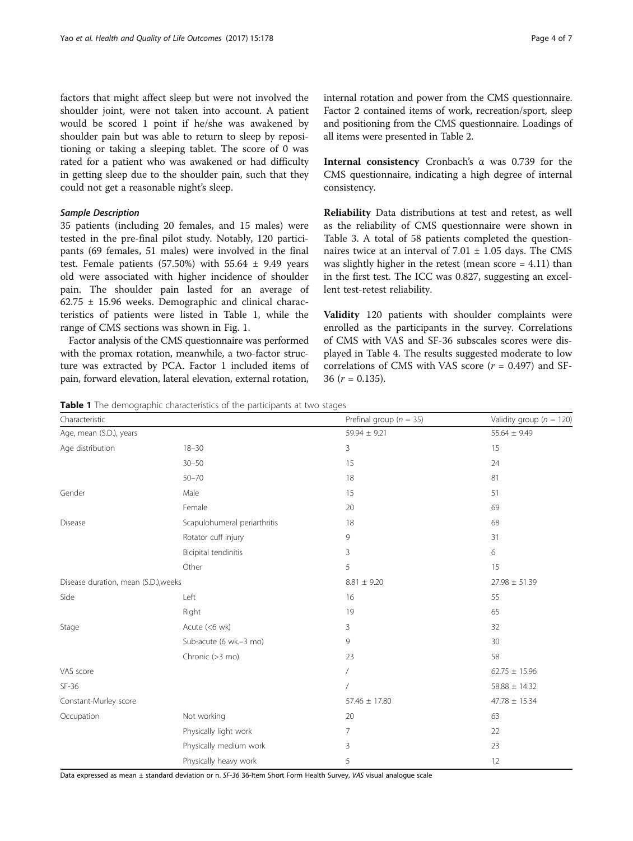factors that might affect sleep but were not involved the shoulder joint, were not taken into account. A patient would be scored 1 point if he/she was awakened by shoulder pain but was able to return to sleep by repositioning or taking a sleeping tablet. The score of 0 was rated for a patient who was awakened or had difficulty in getting sleep due to the shoulder pain, such that they could not get a reasonable night's sleep.

#### Sample Description

35 patients (including 20 females, and 15 males) were tested in the pre-final pilot study. Notably, 120 participants (69 females, 51 males) were involved in the final test. Female patients  $(57.50%)$  with  $55.64 \pm 9.49$  years old were associated with higher incidence of shoulder pain. The shoulder pain lasted for an average of 62.75 ± 15.96 weeks. Demographic and clinical characteristics of patients were listed in Table 1, while the range of CMS sections was shown in Fig. [1](#page-4-0).

Factor analysis of the CMS questionnaire was performed with the promax rotation, meanwhile, a two-factor structure was extracted by PCA. Factor 1 included items of pain, forward elevation, lateral elevation, external rotation,

internal rotation and power from the CMS questionnaire. Factor 2 contained items of work, recreation/sport, sleep and positioning from the CMS questionnaire. Loadings of all items were presented in Table [2.](#page-4-0)

Internal consistency Cronbach's α was 0.739 for the CMS questionnaire, indicating a high degree of internal consistency.

Reliability Data distributions at test and retest, as well as the reliability of CMS questionnaire were shown in Table [3.](#page-5-0) A total of 58 patients completed the questionnaires twice at an interval of  $7.01 \pm 1.05$  days. The CMS was slightly higher in the retest (mean score  $= 4.11$ ) than in the first test. The ICC was 0.827, suggesting an excellent test-retest reliability.

Validity 120 patients with shoulder complaints were enrolled as the participants in the survey. Correlations of CMS with VAS and SF-36 subscales scores were displayed in Table [4.](#page-5-0) The results suggested moderate to low correlations of CMS with VAS score  $(r = 0.497)$  and SF-36  $(r = 0.135)$ .

Table 1 The demographic characteristics of the participants at two stages

| Characteristic                       |                              | Prefinal group ( $n = 35$ ) | Validity group ( $n = 120$ ) |
|--------------------------------------|------------------------------|-----------------------------|------------------------------|
| Age, mean (S.D.), years              |                              | $59.94 \pm 9.21$            | $55.64 \pm 9.49$             |
| Age distribution                     | $18 - 30$                    | 3                           | 15                           |
|                                      | $30 - 50$                    | 15                          | 24                           |
|                                      | $50 - 70$                    | 18                          | 81                           |
| Gender                               | Male                         | 15                          | 51                           |
|                                      | Female                       | 20                          | 69                           |
| Disease                              | Scapulohumeral periarthritis | 18                          | 68                           |
|                                      | Rotator cuff injury          | 9                           | 31                           |
|                                      | Bicipital tendinitis         | 3                           | 6                            |
|                                      | Other                        | 5                           | 15                           |
| Disease duration, mean (S.D.), weeks |                              | $8.81 \pm 9.20$             | $27.98 \pm 51.39$            |
| Side                                 | Left                         | 16                          | 55                           |
|                                      | Right                        | 19                          | 65                           |
| Stage                                | Acute $(<$ 6 wk)             | 3                           | 32                           |
|                                      | Sub-acute (6 wk.-3 mo)       | 9                           | 30                           |
|                                      | Chronic (>3 mo)              | 23                          | 58                           |
| VAS score                            |                              | $\sqrt{2}$                  | $62.75 \pm 15.96$            |
| $SF-36$                              |                              |                             | $58.88 \pm 14.32$            |
| Constant-Murley score                |                              | 57.46 ± 17.80               | $47.78 \pm 15.34$            |
| Occupation                           | Not working                  | 20                          | 63                           |
|                                      | Physically light work        | 7                           | 22                           |
|                                      | Physically medium work       | 3                           | 23                           |
|                                      | Physically heavy work        | 5                           | 12                           |

Data expressed as mean ± standard deviation or n. SF-36 36-Item Short Form Health Survey, VAS visual analogue scale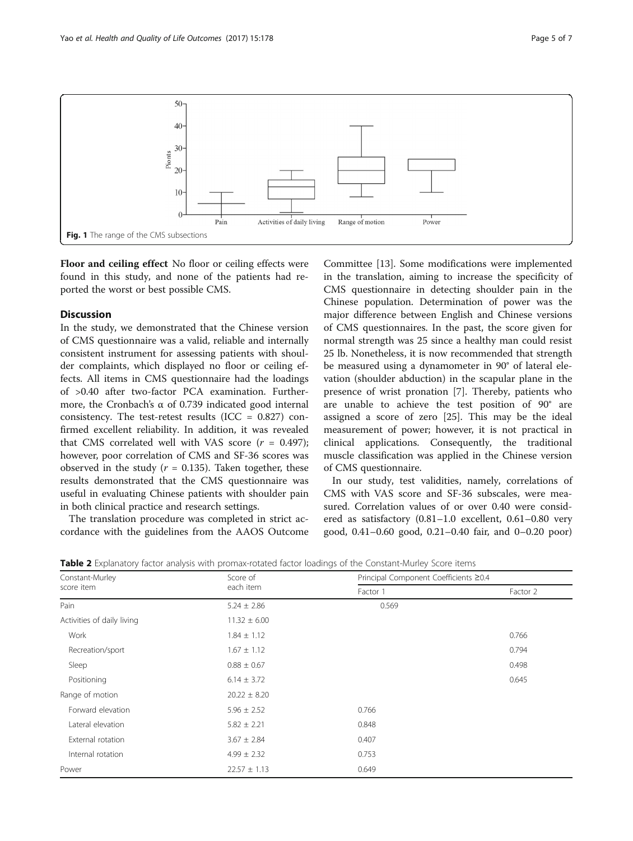<span id="page-4-0"></span>

Floor and ceiling effect No floor or ceiling effects were found in this study, and none of the patients had reported the worst or best possible CMS.

#### **Discussion**

In the study, we demonstrated that the Chinese version of CMS questionnaire was a valid, reliable and internally consistent instrument for assessing patients with shoulder complaints, which displayed no floor or ceiling effects. All items in CMS questionnaire had the loadings of >0.40 after two-factor PCA examination. Furthermore, the Cronbach's  $\alpha$  of 0.739 indicated good internal consistency. The test-retest results (ICC =  $0.827$ ) confirmed excellent reliability. In addition, it was revealed that CMS correlated well with VAS score  $(r = 0.497)$ ; however, poor correlation of CMS and SF-36 scores was observed in the study ( $r = 0.135$ ). Taken together, these results demonstrated that the CMS questionnaire was useful in evaluating Chinese patients with shoulder pain in both clinical practice and research settings.

The translation procedure was completed in strict accordance with the guidelines from the AAOS Outcome

Committee [\[13](#page-6-0)]. Some modifications were implemented in the translation, aiming to increase the specificity of CMS questionnaire in detecting shoulder pain in the Chinese population. Determination of power was the major difference between English and Chinese versions of CMS questionnaires. In the past, the score given for normal strength was 25 since a healthy man could resist 25 lb. Nonetheless, it is now recommended that strength be measured using a dynamometer in 90° of lateral elevation (shoulder abduction) in the scapular plane in the presence of wrist pronation [[7](#page-6-0)]. Thereby, patients who are unable to achieve the test position of 90° are assigned a score of zero [\[25](#page-6-0)]. This may be the ideal measurement of power; however, it is not practical in clinical applications. Consequently, the traditional muscle classification was applied in the Chinese version of CMS questionnaire.

In our study, test validities, namely, correlations of CMS with VAS score and SF-36 subscales, were measured. Correlation values of or over 0.40 were considered as satisfactory (0.81–1.0 excellent, 0.61–0.80 very good, 0.41–0.60 good, 0.21–0.40 fair, and 0–0.20 poor)

| Table 2 Explanatory factor analysis with promax-rotated factor loadings of the Constant-Murley Score items |  |
|------------------------------------------------------------------------------------------------------------|--|
|------------------------------------------------------------------------------------------------------------|--|

| Constant-Murley            | Score of<br>each item | Principal Component Coefficients ≥0.4 |          |
|----------------------------|-----------------------|---------------------------------------|----------|
| score item                 |                       | Factor 1                              | Factor 2 |
| Pain                       | $5.24 \pm 2.86$       | 0.569                                 |          |
| Activities of daily living | $11.32 \pm 6.00$      |                                       |          |
| Work                       | $1.84 \pm 1.12$       |                                       | 0.766    |
| Recreation/sport           | $1.67 \pm 1.12$       |                                       | 0.794    |
| Sleep                      | $0.88 \pm 0.67$       |                                       | 0.498    |
| Positioning                | $6.14 \pm 3.72$       |                                       | 0.645    |
| Range of motion            | $20.22 \pm 8.20$      |                                       |          |
| Forward elevation          | $5.96 \pm 2.52$       | 0.766                                 |          |
| Lateral elevation          | $5.82 \pm 2.21$       | 0.848                                 |          |
| External rotation          | $3.67 \pm 2.84$       | 0.407                                 |          |
| Internal rotation          | $4.99 \pm 2.32$       | 0.753                                 |          |
| Power                      | $22.57 \pm 1.13$      | 0.649                                 |          |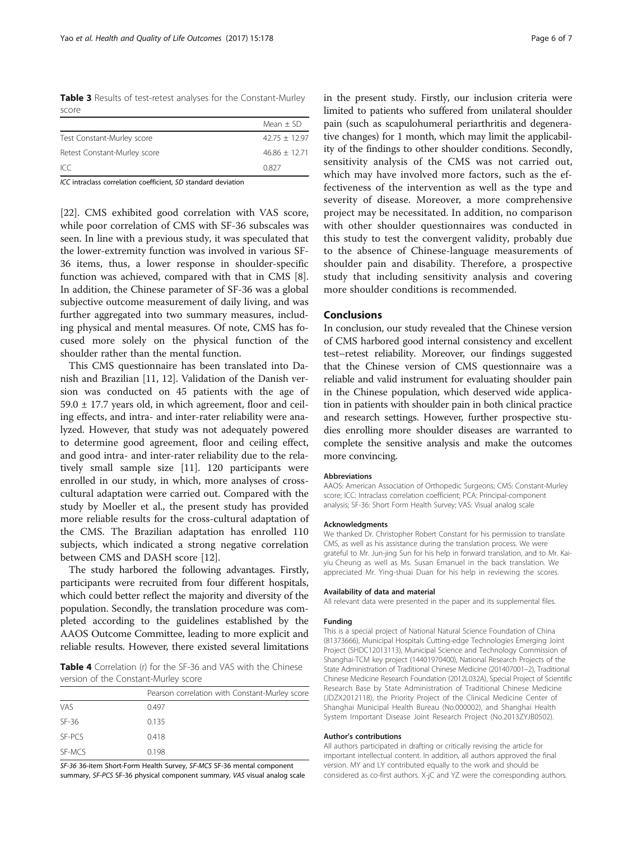<span id="page-5-0"></span>Table 3 Results of test-retest analyses for the Constant-Murley score

|                              | Mean $\pm$ SD   |
|------------------------------|-----------------|
| Test Constant-Murley score   | $42.75 + 12.97$ |
| Retest Constant-Murley score | $46.86 + 12.71$ |
| ICC.                         | 0827            |

ICC intraclass correlation coefficient, SD standard deviation

[[22\]](#page-6-0). CMS exhibited good correlation with VAS score, while poor correlation of CMS with SF-36 subscales was seen. In line with a previous study, it was speculated that the lower-extremity function was involved in various SF-36 items, thus, a lower response in shoulder-specific function was achieved, compared with that in CMS [\[8](#page-6-0)]. In addition, the Chinese parameter of SF-36 was a global subjective outcome measurement of daily living, and was further aggregated into two summary measures, including physical and mental measures. Of note, CMS has focused more solely on the physical function of the shoulder rather than the mental function.

This CMS questionnaire has been translated into Danish and Brazilian [\[11](#page-6-0), [12](#page-6-0)]. Validation of the Danish version was conducted on 45 patients with the age of  $59.0 \pm 17.7$  years old, in which agreement, floor and ceiling effects, and intra- and inter-rater reliability were analyzed. However, that study was not adequately powered to determine good agreement, floor and ceiling effect, and good intra- and inter-rater reliability due to the relatively small sample size [\[11](#page-6-0)]. 120 participants were enrolled in our study, in which, more analyses of crosscultural adaptation were carried out. Compared with the study by Moeller et al., the present study has provided more reliable results for the cross-cultural adaptation of the CMS. The Brazilian adaptation has enrolled 110 subjects, which indicated a strong negative correlation between CMS and DASH score [\[12\]](#page-6-0).

The study harbored the following advantages. Firstly, participants were recruited from four different hospitals, which could better reflect the majority and diversity of the population. Secondly, the translation procedure was completed according to the guidelines established by the AAOS Outcome Committee, leading to more explicit and reliable results. However, there existed several limitations

Table 4 Correlation (r) for the SF-36 and VAS with the Chinese version of the Constant-Murley score

|         | Pearson correlation with Constant-Murley score |
|---------|------------------------------------------------|
| VAS     | 0.497                                          |
| $SF-36$ | 0.135                                          |
| SE-PCS  | 0.418                                          |
| SF-MCS  | 0.198                                          |

SF-36 36-item Short-Form Health Survey, SF-MCS SF-36 mental component summary, SF-PCS SF-36 physical component summary, VAS visual analog scale

in the present study. Firstly, our inclusion criteria were limited to patients who suffered from unilateral shoulder pain (such as scapulohumeral periarthritis and degenerative changes) for 1 month, which may limit the applicability of the findings to other shoulder conditions. Secondly, sensitivity analysis of the CMS was not carried out, which may have involved more factors, such as the effectiveness of the intervention as well as the type and severity of disease. Moreover, a more comprehensive project may be necessitated. In addition, no comparison with other shoulder questionnaires was conducted in this study to test the convergent validity, probably due to the absence of Chinese-language measurements of shoulder pain and disability. Therefore, a prospective study that including sensitivity analysis and covering more shoulder conditions is recommended.

#### Conclusions

In conclusion, our study revealed that the Chinese version of CMS harbored good internal consistency and excellent test–retest reliability. Moreover, our findings suggested that the Chinese version of CMS questionnaire was a reliable and valid instrument for evaluating shoulder pain in the Chinese population, which deserved wide application in patients with shoulder pain in both clinical practice and research settings. However, further prospective studies enrolling more shoulder diseases are warranted to complete the sensitive analysis and make the outcomes more convincing.

#### Abbreviations

AAOS: American Association of Orthopedic Surgeons; CMS: Constant-Murley score; ICC: Intraclass correlation coefficient; PCA: Principal-component analysis; SF-36: Short Form Health Survey; VAS: Visual analog scale

#### Acknowledgments

We thanked Dr. Christopher Robert Constant for his permission to translate CMS, as well as his assistance during the translation process. We were grateful to Mr. Jun-jing Sun for his help in forward translation, and to Mr. Kaiyiu Cheung as well as Ms. Susan Emanuel in the back translation. We appreciated Mr. Ying-shuai Duan for his help in reviewing the scores.

#### Availability of data and material

All relevant data were presented in the paper and its supplemental files.

#### Funding

This is a special project of National Natural Science Foundation of China (81373666), Municipal Hospitals Cutting-edge Technologies Emerging Joint Project (SHDC12013113), Municipal Science and Technology Commission of Shanghai-TCM key project (14401970400), National Research Projects of the State Administration of Traditional Chinese Medicine (201407001–2), Traditional Chinese Medicine Research Foundation (2012L032A), Special Project of Scientific Research Base by State Administration of Traditional Chinese Medicine (JDZX2012118), the Priority Project of the Clinical Medicine Center of Shanghai Municipal Health Bureau (No.000002), and Shanghai Health System Important Disease Joint Research Project (No.2013ZYJB0502).

#### Author's contributions

All authors participated in drafting or critically revising the article for important intellectual content. In addition, all authors approved the final version. MY and LY contributed equally to the work and should be considered as co-first authors. X-jC and YZ were the corresponding authors.